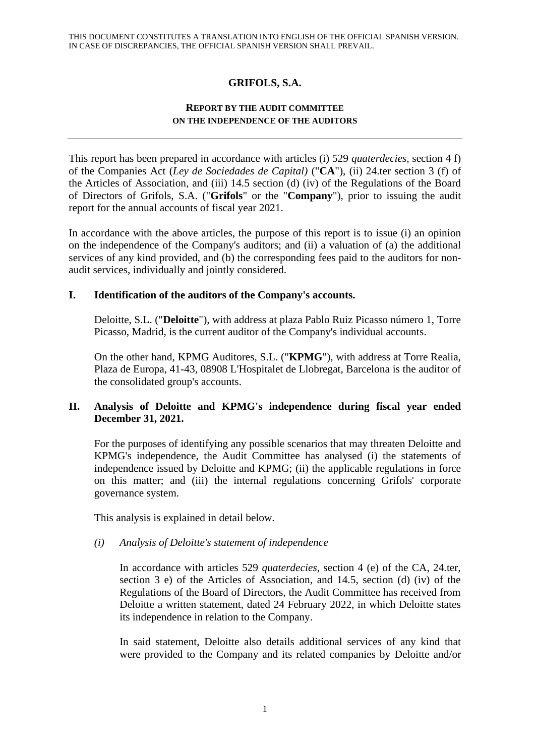# **GRIFOLS, S.A.**

## **REPORT BY THE AUDIT COMMITTEE ON THE INDEPENDENCE OF THE AUDITORS**

This report has been prepared in accordance with articles (i) 529 *quaterdecies*, section 4 f) of the Companies Act (*Ley de Sociedades de Capital)* ("**CA**"), (ii) 24.ter section 3 (f) of the Articles of Association, and (iii) 14.5 section (d) (iv) of the Regulations of the Board of Directors of Grifols, S.A. ("**Grifols**" or the "**Company**"), prior to issuing the audit report for the annual accounts of fiscal year 2021.

In accordance with the above articles, the purpose of this report is to issue (i) an opinion on the independence of the Company's auditors; and (ii) a valuation of (a) the additional services of any kind provided, and (b) the corresponding fees paid to the auditors for nonaudit services, individually and jointly considered.

## **I. Identification of the auditors of the Company's accounts.**

Deloitte, S.L. ("**Deloitte**"), with address at plaza Pablo Ruiz Picasso número 1, Torre Picasso, Madrid, is the current auditor of the Company's individual accounts.

On the other hand, KPMG Auditores, S.L. ("**KPMG**"), with address at Torre Realia, Plaza de Europa, 41-43, 08908 L'Hospitalet de Llobregat, Barcelona is the auditor of the consolidated group's accounts.

# **II. Analysis of Deloitte and KPMG's independence during fiscal year ended December 31, 2021.**

For the purposes of identifying any possible scenarios that may threaten Deloitte and KPMG's independence, the Audit Committee has analysed (i) the statements of independence issued by Deloitte and KPMG; (ii) the applicable regulations in force on this matter; and (iii) the internal regulations concerning Grifols' corporate governance system.

This analysis is explained in detail below.

# *(i) Analysis of Deloitte's statement of independence*

In accordance with articles 529 *quaterdecies*, section 4 (e) of the CA, 24.ter, section 3 e) of the Articles of Association, and 14.5, section (d) (iv) of the Regulations of the Board of Directors, the Audit Committee has received from Deloitte a written statement, dated 24 February 2022, in which Deloitte states its independence in relation to the Company.

In said statement, Deloitte also details additional services of any kind that were provided to the Company and its related companies by Deloitte and/or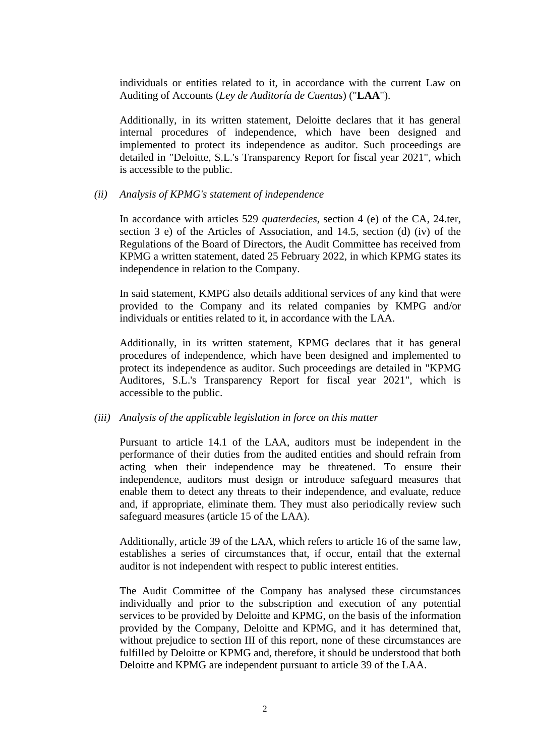individuals or entities related to it, in accordance with the current Law on Auditing of Accounts (*Ley de Auditoría de Cuentas*) ("**LAA**").

Additionally, in its written statement, Deloitte declares that it has general internal procedures of independence, which have been designed and implemented to protect its independence as auditor. Such proceedings are detailed in "Deloitte, S.L.'s Transparency Report for fiscal year 2021", which is accessible to the public.

#### *(ii) Analysis of KPMG's statement of independence*

In accordance with articles 529 *quaterdecies*, section 4 (e) of the CA, 24.ter, section 3 e) of the Articles of Association, and 14.5, section (d) (iv) of the Regulations of the Board of Directors, the Audit Committee has received from KPMG a written statement, dated 25 February 2022, in which KPMG states its independence in relation to the Company.

In said statement, KMPG also details additional services of any kind that were provided to the Company and its related companies by KMPG and/or individuals or entities related to it, in accordance with the LAA.

Additionally, in its written statement, KPMG declares that it has general procedures of independence, which have been designed and implemented to protect its independence as auditor. Such proceedings are detailed in "KPMG Auditores, S.L.'s Transparency Report for fiscal year 2021", which is accessible to the public.

#### *(iii) Analysis of the applicable legislation in force on this matter*

Pursuant to article 14.1 of the LAA, auditors must be independent in the performance of their duties from the audited entities and should refrain from acting when their independence may be threatened. To ensure their independence, auditors must design or introduce safeguard measures that enable them to detect any threats to their independence, and evaluate, reduce and, if appropriate, eliminate them. They must also periodically review such safeguard measures (article 15 of the LAA).

Additionally, article 39 of the LAA, which refers to article 16 of the same law, establishes a series of circumstances that, if occur, entail that the external auditor is not independent with respect to public interest entities.

The Audit Committee of the Company has analysed these circumstances individually and prior to the subscription and execution of any potential services to be provided by Deloitte and KPMG, on the basis of the information provided by the Company, Deloitte and KPMG, and it has determined that, without prejudice to section III of this report, none of these circumstances are fulfilled by Deloitte or KPMG and, therefore, it should be understood that both Deloitte and KPMG are independent pursuant to article 39 of the LAA.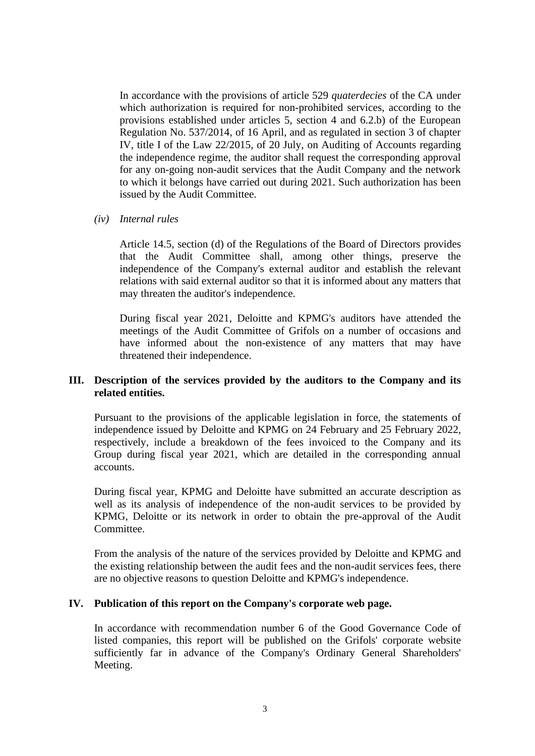In accordance with the provisions of article 529 *quaterdecies* of the CA under which authorization is required for non-prohibited services, according to the provisions established under articles 5, section 4 and 6.2.b) of the European Regulation No. 537/2014, of 16 April, and as regulated in section 3 of chapter IV, title I of the Law 22/2015, of 20 July, on Auditing of Accounts regarding the independence regime, the auditor shall request the corresponding approval for any on-going non-audit services that the Audit Company and the network to which it belongs have carried out during 2021. Such authorization has been issued by the Audit Committee.

### *(iv) Internal rules*

Article 14.5, section (d) of the Regulations of the Board of Directors provides that the Audit Committee shall, among other things, preserve the independence of the Company's external auditor and establish the relevant relations with said external auditor so that it is informed about any matters that may threaten the auditor's independence.

During fiscal year 2021, Deloitte and KPMG's auditors have attended the meetings of the Audit Committee of Grifols on a number of occasions and have informed about the non-existence of any matters that may have threatened their independence.

## **III. Description of the services provided by the auditors to the Company and its related entities.**

Pursuant to the provisions of the applicable legislation in force, the statements of independence issued by Deloitte and KPMG on 24 February and 25 February 2022, respectively, include a breakdown of the fees invoiced to the Company and its Group during fiscal year 2021, which are detailed in the corresponding annual accounts.

During fiscal year, KPMG and Deloitte have submitted an accurate description as well as its analysis of independence of the non-audit services to be provided by KPMG, Deloitte or its network in order to obtain the pre-approval of the Audit Committee.

From the analysis of the nature of the services provided by Deloitte and KPMG and the existing relationship between the audit fees and the non-audit services fees, there are no objective reasons to question Deloitte and KPMG's independence.

### **IV. Publication of this report on the Company's corporate web page.**

In accordance with recommendation number 6 of the Good Governance Code of listed companies, this report will be published on the Grifols' corporate website sufficiently far in advance of the Company's Ordinary General Shareholders' Meeting.